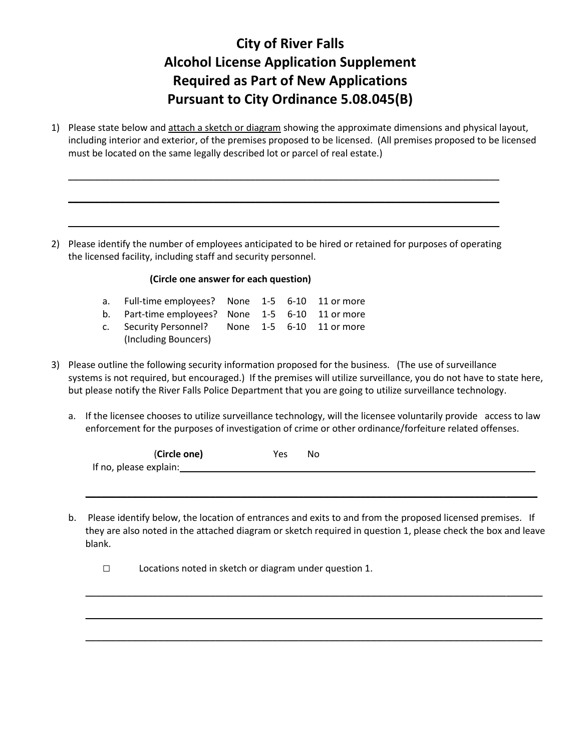## **City of River Falls Alcohol License Application Supplement Required as Part of New Applications Pursuant to City Ordinance 5.08.045(B)**

1) Please state below and attach a sketch or diagram showing the approximate dimensions and physical layout, including interior and exterior, of the premises proposed to be licensed. (All premises proposed to be licensed must be located on the same legally described lot or parcel of real estate.)

\_\_\_\_\_\_\_\_\_\_\_\_\_\_\_\_\_\_\_\_\_\_\_\_\_\_\_\_\_\_\_\_\_\_\_\_\_\_\_\_\_\_\_\_\_\_\_\_\_\_\_\_\_\_\_\_\_\_\_\_\_\_\_\_\_\_\_\_\_\_\_\_\_\_\_\_\_\_\_\_\_\_\_

\_\_\_\_\_\_\_\_\_\_\_\_\_\_\_\_\_\_\_\_\_\_\_\_\_\_\_\_\_\_\_\_\_\_\_\_\_\_\_\_\_\_\_\_\_\_\_\_\_\_\_\_\_\_\_\_\_\_\_\_\_\_\_\_\_\_\_\_\_\_\_\_\_\_\_\_\_\_\_\_\_\_\_

\_\_\_\_\_\_\_\_\_\_\_\_\_\_\_\_\_\_\_\_\_\_\_\_\_\_\_\_\_\_\_\_\_\_\_\_\_\_\_\_\_\_\_\_\_\_\_\_\_\_\_\_\_\_\_\_\_\_\_\_\_\_\_\_\_\_\_\_\_\_\_\_\_\_\_\_\_\_\_\_\_\_\_

2) Please identify the number of employees anticipated to be hired or retained for purposes of operating the licensed facility, including staff and security personnel.

## **(Circle one answer for each question)**

| a. Full-time employees? None 1-5 6-10 11 or more |  |  |
|--------------------------------------------------|--|--|
| b. Part-time employees? None 1-5 6-10 11 or more |  |  |

- c. Security Personnel? None 1-5 6-10 11 or more
	- (Including Bouncers)
- 3) Please outline the following security information proposed for the business. (The use of surveillance systems is not required, but encouraged.) If the premises will utilize surveillance, you do not have to state here, but please notify the River Falls Police Department that you are going to utilize surveillance technology.
	- a. If the licensee chooses to utilize surveillance technology, will the licensee voluntarily provide access to law enforcement for the purposes of investigation of crime or other ordinance/forfeiture related offenses.

| (Circle one)           | Yes | No |
|------------------------|-----|----|
| If no, please explain: |     |    |

\_\_\_\_\_\_\_\_\_\_\_\_\_\_\_\_\_\_\_\_\_\_\_\_\_\_\_\_\_\_\_\_\_\_\_\_\_\_\_\_\_\_\_\_\_\_\_\_\_\_\_\_\_\_\_\_\_\_\_\_\_\_\_\_\_\_\_\_\_\_\_\_\_\_\_\_\_\_\_\_\_\_\_\_\_\_\_

b. Please identify below, the location of entrances and exits to and from the proposed licensed premises. If they are also noted in the attached diagram or sketch required in question 1, please check the box and leave blank.

\_\_\_\_\_\_\_\_\_\_\_\_\_\_\_\_\_\_\_\_\_\_\_\_\_\_\_\_\_\_\_\_\_\_\_\_\_\_\_\_\_\_\_\_\_\_\_\_\_\_\_\_\_\_\_\_\_\_\_\_\_\_\_\_\_\_\_\_\_\_\_\_\_\_\_\_\_\_\_\_\_\_\_\_\_\_\_\_

\_\_\_\_\_\_\_\_\_\_\_\_\_\_\_\_\_\_\_\_\_\_\_\_\_\_\_\_\_\_\_\_\_\_\_\_\_\_\_\_\_\_\_\_\_\_\_\_\_\_\_\_\_\_\_\_\_\_\_\_\_\_\_\_\_\_\_\_\_\_\_\_\_\_\_\_\_\_\_\_\_\_\_\_\_\_\_\_

\_\_\_\_\_\_\_\_\_\_\_\_\_\_\_\_\_\_\_\_\_\_\_\_\_\_\_\_\_\_\_\_\_\_\_\_\_\_\_\_\_\_\_\_\_\_\_\_\_\_\_\_\_\_\_\_\_\_\_\_\_\_\_\_\_\_\_\_\_\_\_\_\_\_\_\_\_\_\_\_\_\_\_\_\_\_\_\_

□ Locations noted in sketch or diagram under question 1.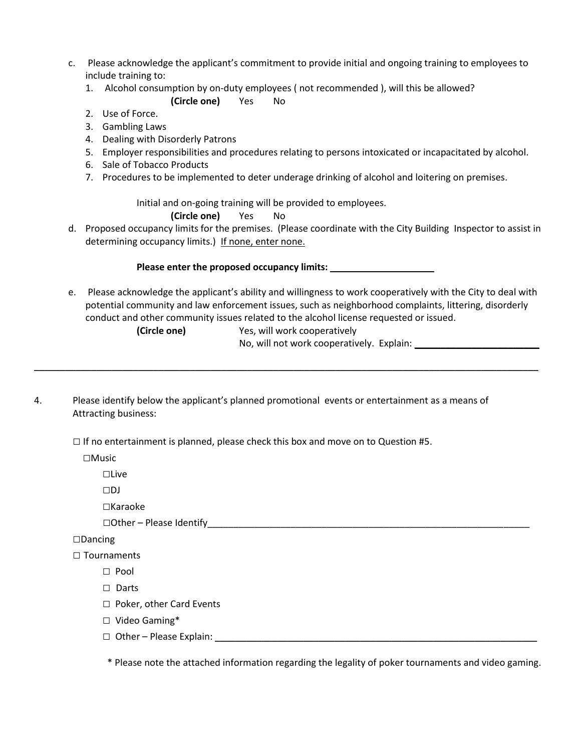- c. Please acknowledge the applicant's commitment to provide initial and ongoing training to employees to include training to:
	- 1. Alcohol consumption by on-duty employees ( not recommended ), will this be allowed?

## **(Circle one)** Yes No

- 2. Use of Force.
- 3. Gambling Laws
- 4. Dealing with Disorderly Patrons
- 5. Employer responsibilities and procedures relating to persons intoxicated or incapacitated by alcohol.
- 6. Sale of Tobacco Products
- 7. Procedures to be implemented to deter underage drinking of alcohol and loitering on premises.

Initial and on-going training will be provided to employees.

**(Circle one)** Yes No

d. Proposed occupancy limits for the premises. (Please coordinate with the City Building Inspector to assist in determining occupancy limits.) If none, enter none.

**Please enter the proposed occupancy limits:** \_\_\_\_\_\_\_\_\_\_\_\_\_\_\_\_\_\_\_\_

\_\_\_\_\_\_\_\_\_\_\_\_\_\_\_\_\_\_\_\_\_\_\_\_\_\_\_\_\_\_\_\_\_\_\_\_\_\_\_\_\_\_\_\_\_\_\_\_\_\_\_\_\_\_\_\_\_\_\_\_\_\_\_\_\_\_\_\_\_\_\_\_\_\_\_\_\_\_\_\_\_\_\_\_\_\_\_\_\_\_\_\_\_\_\_\_\_

e. Please acknowledge the applicant's ability and willingness to work cooperatively with the City to deal with potential community and law enforcement issues, such as neighborhood complaints, littering, disorderly conduct and other community issues related to the alcohol license requested or issued.

**(Circle one)** Yes, will work cooperatively

No, will not work cooperatively. Explain: \_\_\_\_\_\_\_\_\_\_\_\_\_\_\_\_\_\_\_\_\_\_\_\_

4. Please identify below the applicant's planned promotional events or entertainment as a means of Attracting business:

 $\square$  If no entertainment is planned, please check this box and move on to Question #5.

□Music

□Live

□DJ

□Karaoke

 $\Box$  Other – Please Identify

□Dancing

- □ Tournaments
	- $\Box$  Pool
	- □ Darts
	- □ Poker, other Card Events
	- □ Video Gaming\*
	- □ Other Please Explain: \_\_\_\_\_\_\_\_\_\_\_\_\_\_\_\_\_\_\_\_\_\_\_\_\_\_\_\_\_\_\_\_\_\_\_\_\_\_\_\_\_\_\_\_\_\_\_\_\_\_\_\_\_\_\_\_\_\_\_\_\_\_

\* Please note the attached information regarding the legality of poker tournaments and video gaming.